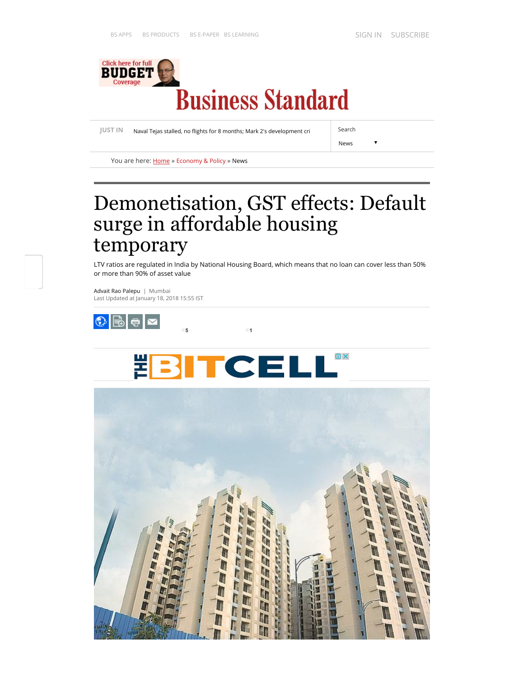

[JUST IN](http://www.business-standard.com/latest-news/) Naval Tejas stalled, no flights for 8 months; Mark 2's development cri Search

News

 $\overline{\mathbf{v}}$ 

You are here: **[Home](http://www.business-standard.com/)** » [Economy & Policy](http://www.business-standard.com/economy-policy) » [News](http://www.business-standard.com/category/economy-policy-news-1020101.htm)

# Demonetisation, GST effects: Default surge in affordable housing temporary

LTV ratios are regulated in India by National Housing Board, which means that no loan can cover less than 50% or more than 90% of asset value

[Advait Rao Palepu](http://www.business-standard.com/author/search/keyword/advait-rao-palepu) | Mumbai Last Updated at January 18, 2018 15:55 IST



(j) X 뿓 Е

 $5$  1

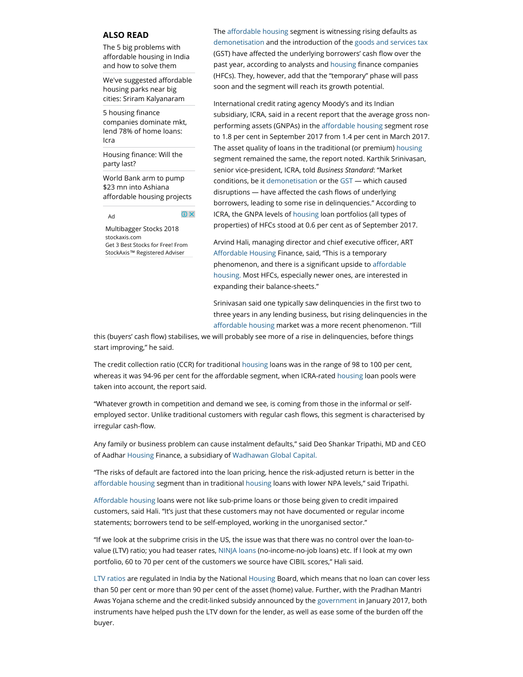### ALSO READ

The 5 big problems with affordable housing in India and how to solve them

We've suggested affordable housing parks near big cities: Sriram Kalyanaram

5 housing finance [companies dominate mkt,](http://www.business-standard.com/article/finance/5-housing-finance-companies-dominate-mkt-give-78-of-home-loans-icra-117092801031_1.html) lend 78% of home loans: Icra

Housing finance: Will the party last?

World Bank arm to pump \$23 mn into Ashiana affordable housing projects

O X Ad

[Multibagger Stocks 2018](https://www.googleadservices.com/pagead/aclk?sa=L&ai=CuzU00DFnWuuDL47xrAGt3JaABea8p_BN4I-7mboGw6Gj9QUQASCpvMwRYOWy5YOsDqAB4LyY0QPIAQapAqJpxV6H1VA-qAMByAMCqgSUAk_QsGgrq1f6ibNidPD0-7rbVpPcTjUtmjuZc7RFj_ZqohC7HQJVIeax3SGcPfb2HuaE5tSHBry5VBUocdgeyRXlKWflyxG6AJnZUpfBORAdQQIbQB1UiLltAVgbZ7_lcew0VVrVEWxYaAjXGd-qZ6MfM5HghEq3etKrfVDw3d1zhdwVSJUKWaHqpX3Ai-Wfa7YvAHCoCvoX3wkZ7Gd0UDN8R3_B_VzmtgknhzcaoEHjtsfKv4E8szpBdoXQmcqp8_wLJPMewoTO_1Hu3UjOFP6dTmbpXM1RZW0o2q1n1_dcanb2QkNQkr9mOXgTWS5w8CNAnc9YVPhdcVWj1kV0PTAq5XoJhyLCbYXGTIUePQJCGFKoCaAGN4AHiMPnLqgHpr4b2AcB0ggHCIABEAEYArEJa9NRQCOkExGACgHYEww&num=1&cid=CAASEuRo-fzJVlvaO84w8IrBgZGeMw&sig=AOD64_2t3-QFU0CRV-mzB_CQwHrVMoQjPg&client=ca-pub-1723933259695999&adurl=https://www.stockaxis.com/StockAxis-Top-Stocks-IND/index.aspx%3Frefer%3DdisplayT) [stockaxis.com](https://www.googleadservices.com/pagead/aclk?sa=L&ai=CuzU00DFnWuuDL47xrAGt3JaABea8p_BN4I-7mboGw6Gj9QUQASCpvMwRYOWy5YOsDqAB4LyY0QPIAQapAqJpxV6H1VA-qAMByAMCqgSUAk_QsGgrq1f6ibNidPD0-7rbVpPcTjUtmjuZc7RFj_ZqohC7HQJVIeax3SGcPfb2HuaE5tSHBry5VBUocdgeyRXlKWflyxG6AJnZUpfBORAdQQIbQB1UiLltAVgbZ7_lcew0VVrVEWxYaAjXGd-qZ6MfM5HghEq3etKrfVDw3d1zhdwVSJUKWaHqpX3Ai-Wfa7YvAHCoCvoX3wkZ7Gd0UDN8R3_B_VzmtgknhzcaoEHjtsfKv4E8szpBdoXQmcqp8_wLJPMewoTO_1Hu3UjOFP6dTmbpXM1RZW0o2q1n1_dcanb2QkNQkr9mOXgTWS5w8CNAnc9YVPhdcVWj1kV0PTAq5XoJhyLCbYXGTIUePQJCGFKoCaAGN4AHiMPnLqgHpr4b2AcB0ggHCIABEAEYArEJa9NRQCOkExGACgHYEww&num=1&cid=CAASEuRo-fzJVlvaO84w8IrBgZGeMw&sig=AOD64_2t3-QFU0CRV-mzB_CQwHrVMoQjPg&client=ca-pub-1723933259695999&adurl=https://www.stockaxis.com/StockAxis-Top-Stocks-IND/index.aspx%3Frefer%3DdisplayT) [Get 3 Best Stocks for Free! From](https://www.googleadservices.com/pagead/aclk?sa=L&ai=CuzU00DFnWuuDL47xrAGt3JaABea8p_BN4I-7mboGw6Gj9QUQASCpvMwRYOWy5YOsDqAB4LyY0QPIAQapAqJpxV6H1VA-qAMByAMCqgSUAk_QsGgrq1f6ibNidPD0-7rbVpPcTjUtmjuZc7RFj_ZqohC7HQJVIeax3SGcPfb2HuaE5tSHBry5VBUocdgeyRXlKWflyxG6AJnZUpfBORAdQQIbQB1UiLltAVgbZ7_lcew0VVrVEWxYaAjXGd-qZ6MfM5HghEq3etKrfVDw3d1zhdwVSJUKWaHqpX3Ai-Wfa7YvAHCoCvoX3wkZ7Gd0UDN8R3_B_VzmtgknhzcaoEHjtsfKv4E8szpBdoXQmcqp8_wLJPMewoTO_1Hu3UjOFP6dTmbpXM1RZW0o2q1n1_dcanb2QkNQkr9mOXgTWS5w8CNAnc9YVPhdcVWj1kV0PTAq5XoJhyLCbYXGTIUePQJCGFKoCaAGN4AHiMPnLqgHpr4b2AcB0ggHCIABEAEYArEJa9NRQCOkExGACgHYEww&num=1&cid=CAASEuRo-fzJVlvaO84w8IrBgZGeMw&sig=AOD64_2t3-QFU0CRV-mzB_CQwHrVMoQjPg&client=ca-pub-1723933259695999&adurl=https://www.stockaxis.com/StockAxis-Top-Stocks-IND/index.aspx%3Frefer%3DdisplayT) StockAxis™ Registered Adviser

The affordable [housing s](http://www.business-standard.com/search?type=news&q=housing)egment is witnessing rising defaults as [demonetisation a](http://www.business-standard.com/search?type=news&q=demonetisation)nd the introduction of the [goods and services tax](http://www.business-standard.com/search?type=news&q=goods+and+services+tax) (GST) have affected the underlying borrowers' cash flow over the past year, according to analysts and [housing](http://www.business-standard.com/search?type=news&q=housing) finance companies (HFCs). They, however, add that the "temporary" phase will pass soon and the segment will reach its growth potential.

International credit rating agency Moody's and its Indian subsidiary, ICRA, said in a recent report that the average gross nonperforming assets (GNPAs) in the affordable [housing](http://www.business-standard.com/search?type=news&q=housing) segment rose to 1.8 per cent in September 2017 from 1.4 per cent in March 2017. The asset quality of loans in the traditional (or premium) [housing](http://www.business-standard.com/search?type=news&q=housing) segment remained the same, the report noted. Karthik Srinivasan, senior vice-president, ICRA, told Business Standard: "Market conditions, be it [demonetisation o](http://www.business-standard.com/search?type=news&q=demonetisation)r the [GST](http://www.business-standard.com/search?type=news&q=gst) — which caused disruptions  $-$  have affected the cash flows of underlying borrowers, leading to some rise in delinquencies." According to ICRA, the GNPA levels of [housing](http://www.business-standard.com/search?type=news&q=housing) loan portfolios (all types of properties) of HFCs stood at 0.6 per cent as of September 2017.

Arvind Hali, managing director and chief executive officer, ART Affordable [Housing](http://www.business-standard.com/search?type=news&q=housing) Finance, said, "This is a temporary phenomenon, and there is a significant upside to affordable [housing.](http://www.business-standard.com/search?type=news&q=housing) Most HFCs, especially newer ones, are interested in expanding their balance-sheets."

Srinivasan said one typically saw delinquencies in the first two to three years in any lending business, but rising delinquencies in the affordable [housing](http://www.business-standard.com/search?type=news&q=housing) market was a more recent phenomenon. "Till

this (buyers' cash flow) stabilises, we will probably see more of a rise in delinquencies, before things start improving," he said.

The credit collection ratio (CCR) for traditional [housing l](http://www.business-standard.com/search?type=news&q=housing)oans was in the range of 98 to 100 per cent, whereas it was 94-96 per cent for the affordable segment, when ICRA-rated [housing](http://www.business-standard.com/search?type=news&q=housing) loan pools were taken into account, the report said.

"Whatever growth in competition and demand we see, is coming from those in the informal or selfemployed sector. Unlike traditional customers with regular cash flows, this segment is characterised by irregular cash-flow.

Any family or business problem can cause instalment defaults," said Deo Shankar Tripathi, MD and CEO of Aadhar [Housing](http://www.business-standard.com/search?type=news&q=housing) Finance, a subsidiary of [Wadhawan Global Capital.](http://www.business-standard.com/search?type=news&q=wadhawan+global+capital)

"The risks of default are factored into the loan pricing, hence the risk-adjusted return is better in the affordable [housing](http://www.business-standard.com/search?type=news&q=housing) segment than in traditional [housing l](http://www.business-standard.com/search?type=news&q=housing)oans with lower NPA levels," said Tripathi.

Affordable [housing l](http://www.business-standard.com/search?type=news&q=housing)oans were not like sub-prime loans or those being given to credit impaired customers, said Hali. "It's just that these customers may not have documented or regular income statements; borrowers tend to be self-employed, working in the unorganised sector."

"If we look at the subprime crisis in the US, the issue was that there was no control over the loan-tovalue (LTV) ratio; you had teaser rates, [NINJA loans \(](http://www.business-standard.com/search?type=news&q=ninja+loans)no-income-no-job loans) etc. If I look at my own portfolio, 60 to 70 per cent of the customers we source have CIBIL scores," Hali said.

[LTV ratios a](http://www.business-standard.com/search?type=news&q=ltv+ratios)re regulated in India by the National [Housing](http://www.business-standard.com/search?type=news&q=housing) Board, which means that no loan can cover less than 50 per cent or more than 90 per cent of the asset (home) value. Further, with the Pradhan Mantri Awas Yojana scheme and the credit-linked subsidy announced by the [government i](http://www.business-standard.com/search?type=news&q=government)n January 2017, both instruments have helped push the LTV down for the lender, as well as ease some of the burden off the buyer.